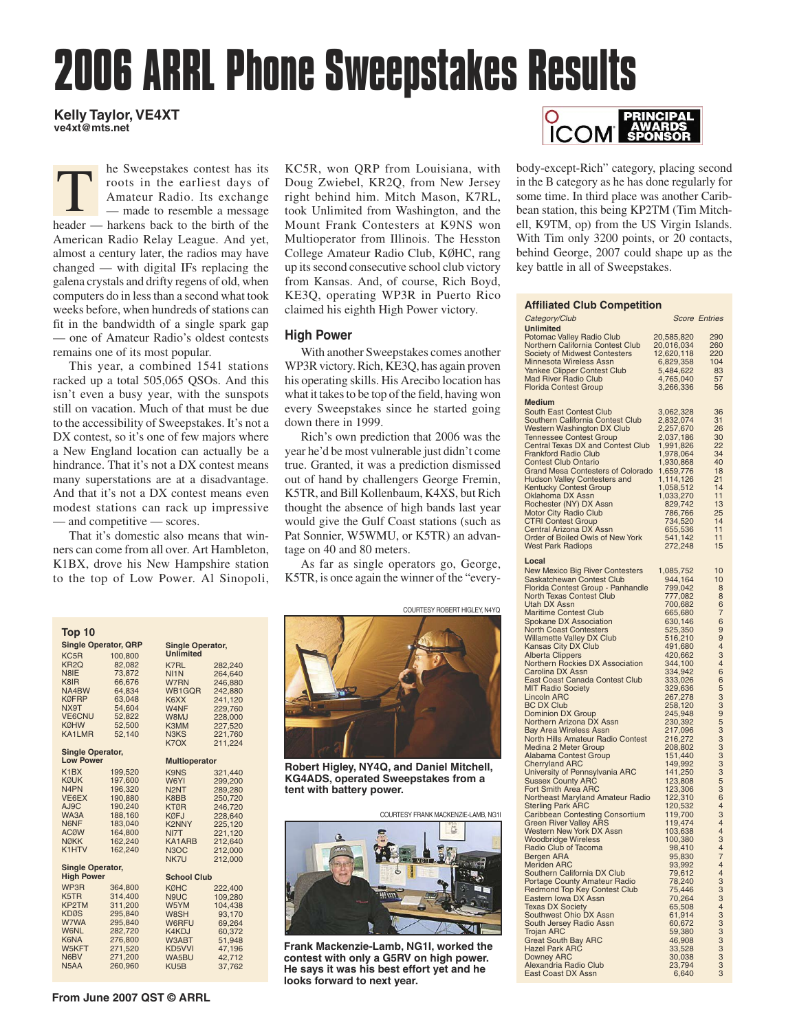# **2006 ARRL Phone Sweepstakes Results**

## **Kelly Taylor, VE4XT ve4xt@mts.net**

T he Sweepstakes contest has its roots in the earliest days of Amateur Radio. Its exchange — made to resemble a message header — harkens back to the birth of the American Radio Relay League. And yet, almost a century later, the radios may have changed — with digital IFs replacing the galena crystals and drifty regens of old, when computers do in less than a second what took weeks before, when hundreds of stations can fit in the bandwidth of a single spark gap — one of Amateur Radio's oldest contests remains one of its most popular.

This year, a combined 1541 stations racked up a total 505,065 QSOs. And this isn't even a busy year, with the sunspots still on vacation. Much of that must be due to the accessibility of Sweepstakes. It's not a DX contest, so it's one of few majors where a New England location can actually be a hindrance. That it's not a DX contest means many superstations are at a disadvantage. And that it's not a DX contest means even modest stations can rack up impressive — and competitive — scores.

That it's domestic also means that winners can come from all over. Art Hambleton, K1BX, drove his New Hampshire station to the top of Low Power. Al Sinopoli,

KC5R, won QRP from Louisiana, with Doug Zwiebel, KR2Q, from New Jersey right behind him. Mitch Mason, K7RL, took Unlimited from Washington, and the Mount Frank Contesters at K9NS won Multioperator from Illinois. The Hesston College Amateur Radio Club, KØHC, rang up its second consecutive school club victory from Kansas. And, of course, Rich Boyd, KE3Q, operating WP3R in Puerto Rico claimed his eighth High Power victory.

# **High Power**

With another Sweepstakes comes another WP3R victory. Rich, KE3Q, has again proven his operating skills. His Arecibo location has what it takes to be top of the field, having won every Sweepstakes since he started going down there in 1999.

Rich's own prediction that 2006 was the year he'd be most vulnerable just didn't come true. Granted, it was a prediction dismissed out of hand by challengers George Fremin, K5TR, and Bill Kollenbaum, K4XS, but Rich thought the absence of high bands last year would give the Gulf Coast stations (such as Pat Sonnier, W5WMU, or K5TR) an advantage on 40 and 80 meters.

As far as single operators go, George, K5TR, is once again the winner of the "every-

COURTESY ROBERT HIGLEY, N4YQ

**Robert Higley, NY4Q, and Daniel Mitchell, KG4ADS, operated Sweepstakes from a tent with battery power.** 

COURTESY FRANK MACKENZIE-LAMB, NG1I



**Frank Mackenzie-Lamb, NG1I, worked the contest with only a G5RV on high power. He says it was his best effort yet and he looks forward to next year.** 



body-except-Rich" category, placing second in the B category as he has done regularly for some time. In third place was another Caribbean station, this being KP2TM (Tim Mitchell, K9TM, op) from the US Virgin Islands. With Tim only 3200 points, or 20 contacts, behind George, 2007 could shape up as the key battle in all of Sweepstakes.

#### **Affiliated Club Competition**

| Category/Club                                                                                                                                                                                                                                                                                                                                                                                                                                                                                                                                                                                                                                                                                          |                                                                                                                                                                                                                                                                        | <b>Score Entries</b>                                                                                   |
|--------------------------------------------------------------------------------------------------------------------------------------------------------------------------------------------------------------------------------------------------------------------------------------------------------------------------------------------------------------------------------------------------------------------------------------------------------------------------------------------------------------------------------------------------------------------------------------------------------------------------------------------------------------------------------------------------------|------------------------------------------------------------------------------------------------------------------------------------------------------------------------------------------------------------------------------------------------------------------------|--------------------------------------------------------------------------------------------------------|
| <b>Unlimited</b><br>Potomac Valley Radio Club<br>Northern California Contest Club<br><b>Society of Midwest Contesters</b><br>Minnesota Wireless Assn<br>Yankee Clipper Contest Club<br><b>Mad River Radio Club</b>                                                                                                                                                                                                                                                                                                                                                                                                                                                                                     | 20,585,820<br>20,016,034<br>12,620,118<br>6,829,358<br>5,484,622<br>4,765,040                                                                                                                                                                                          | 290<br>260<br>220<br>104<br>83<br>57                                                                   |
| <b>Florida Contest Group</b>                                                                                                                                                                                                                                                                                                                                                                                                                                                                                                                                                                                                                                                                           | 3,266,336                                                                                                                                                                                                                                                              | 56                                                                                                     |
| <b>Medium</b><br>South East Contest Club<br>Southern California Contest Club<br>Western Washington DX Club<br><b>Tennessee Contest Group</b><br>Central Texas DX and Contest Club<br>Frankford Radio Club<br><b>Contest Club Ontario</b><br><b>Grand Mesa Contesters of Colorado</b><br><b>Hudson Valley Contesters and</b><br>Kentucky Contest Group<br>Oklahoma DX Assn<br>Rochester (NY) DX Assn<br>Motor City Radio Club<br><b>CTRI Contest Group</b><br>Central Arizona DX Assn<br>Order of Boiled Owls of New York<br><b>West Park Radiops</b>                                                                                                                                                   | 3,062,328<br>2,832,074<br>2,257,670<br>2,037,186<br>1,991,826<br>1,978,064<br>1,930,868<br>1,659,776<br>1,114,126<br>1,058,512<br>1,033,270<br>829,742<br>786,766<br>734,520<br>655,536<br>541,142<br>272,248                                                          | 36<br>31<br>26<br>30<br>22<br>34<br>40<br>18<br>21<br>14<br>11<br>13<br>25<br>14<br>11<br>11<br>15     |
| Local                                                                                                                                                                                                                                                                                                                                                                                                                                                                                                                                                                                                                                                                                                  |                                                                                                                                                                                                                                                                        |                                                                                                        |
| New Mexico Big River Contesters<br>Saskatchewan Contest Club<br>Florida Contest Group - Panhandle<br>North Texas Contest Club<br><b>Utah DX Assn</b><br><b>Maritime Contest Club</b><br>Spokane DX Association<br>North Coast Contesters<br>Willamette Valley DX Club<br>Kansas City DX Club<br>Alberta Clippers<br>Northern Rockies DX Association<br><b>Carolina DX Assn</b><br>East Coast Canada Contest Club<br><b>MIT Radio Society</b><br><b>Lincoln ARC</b><br><b>BC DX Club</b><br><b>Dominion DX Group</b><br>Northern Arizona DX Assn<br><b>Bay Area Wireless Assn</b><br>North Hills Amateur Radio Contest<br>Medina 2 Meter Group<br><b>Alabama Contest Group</b><br><b>Cherryland ARC</b> | 1,085,752<br>944,164<br>799,042<br>777,082<br>700,682<br>665,680<br>630,146<br>525,350<br>516,210<br>491,680<br>420,662<br>344,100<br>334,942<br>333,026<br>329,636<br>267,278<br>258,120<br>245,948<br>230,392<br>217,096<br>216,272<br>208,802<br>151,440<br>149,992 | 10<br>10<br>8<br>8<br>6<br>7<br>6<br>9<br>9<br>4<br>3<br>4<br>6<br>6<br>5<br>3<br>9<br>9<br>5333335364 |
| University of Pennsylvania ARC<br>Sussex County ARC<br>Fort Smith Area ARC                                                                                                                                                                                                                                                                                                                                                                                                                                                                                                                                                                                                                             | 141,250<br>123,808                                                                                                                                                                                                                                                     |                                                                                                        |
| Northeast Maryland Amateur Radio<br><b>Sterling Park ARC</b><br><b>Caribbean Contesting Consortium</b><br>Green River Valley ARS<br>Western New York DX Assn<br>Woodbridge Wireless<br>Radio Club of Tacoma<br>Bergen ARA<br><b>Meriden ARC</b><br>Southern California DX Club<br><b>Portage County Amateur Radio</b><br>Redmond Top Key Contest Club<br>Eastern Iowa DX Assn<br>Texas DX Society<br>Southwest Ohio DX Assn<br>South Jersey Radio Assn<br>Trojan ARC<br><b>Great South Bay ARC</b><br><b>Hazel Park ARC</b><br><b>Downey ARC</b><br>Alexandria Radio Club                                                                                                                              | 123,306<br>122,310<br>120,532<br>119,700<br>119,474<br>103,638<br>100,380<br>98,410<br>95,830<br>93,992<br>79,612<br>78,240<br>75,446<br>70,264<br>65,508<br>61,914<br>60,672<br>59,380<br>46,908<br>33,528<br>30,038<br>23,794                                        | 3<br>4<br>4<br>$\overline{3}$<br>4<br>7<br>4<br>$\frac{4}{3}$<br>3<br>3<br>4<br>3333333                |
| East Coast DX Assn                                                                                                                                                                                                                                                                                                                                                                                                                                                                                                                                                                                                                                                                                     | 6,640                                                                                                                                                                                                                                                                  | 3                                                                                                      |

| Top 10<br><b>Single Operator, QRP</b><br><b>Single Operator,</b> |                  |                               |                      |  |  |  |  |  |  |
|------------------------------------------------------------------|------------------|-------------------------------|----------------------|--|--|--|--|--|--|
|                                                                  |                  | <b>Unlimited</b>              |                      |  |  |  |  |  |  |
| KC5R                                                             | 100,800          |                               |                      |  |  |  |  |  |  |
| KR <sub>2Q</sub>                                                 | 82,082           | K7RL                          | 282,240              |  |  |  |  |  |  |
| N8IE<br>K8IR                                                     | 73.872<br>66,676 | NI <sub>1</sub> N             | 264,640              |  |  |  |  |  |  |
| NA4BW                                                            | 64,834           | W7RN<br>WB1GQR                | 246,880              |  |  |  |  |  |  |
| <b>KØFRP</b>                                                     | 63.048           | K6XX                          | 242,880<br>241,120   |  |  |  |  |  |  |
| NX9T                                                             | 54,604           | W4NF                          | 229,760              |  |  |  |  |  |  |
| <b>VE6CNU</b>                                                    | 52.822           | W8MJ                          | 228,000              |  |  |  |  |  |  |
| <b>KØHW</b>                                                      | 52,500           | K3MM                          | 227,520              |  |  |  |  |  |  |
| <b>KA1LMR</b>                                                    | 52,140           | N <sub>3</sub> K <sub>S</sub> | 221,760              |  |  |  |  |  |  |
|                                                                  |                  | K7OX                          | 211.224              |  |  |  |  |  |  |
| <b>Single Operator,</b>                                          |                  |                               |                      |  |  |  |  |  |  |
| <b>Low Power</b>                                                 |                  |                               | <b>Multioperator</b> |  |  |  |  |  |  |
| K <sub>1</sub> BX                                                | 199,520          | <b>K9NS</b>                   | 321,440              |  |  |  |  |  |  |
| <b>KØUK</b>                                                      | 197,600          | W6YI                          | 299,200              |  |  |  |  |  |  |
| N <sub>4</sub> PN                                                | 196,320          | N <sub>2</sub> N <sub>T</sub> | 289,280              |  |  |  |  |  |  |
| VE6EX                                                            | 190,880          | K8BB                          | 250,720              |  |  |  |  |  |  |
| AJ9C                                                             | 190,240          | <b>KTØR</b>                   | 246,720              |  |  |  |  |  |  |
| WA3A                                                             | 188,160          | <b>KØFJ</b>                   | 228,640              |  |  |  |  |  |  |
| N6NF                                                             | 183,040          | <b>K2NNY</b>                  | 225,120              |  |  |  |  |  |  |
| <b>ACØW</b>                                                      | 164,800          | NI7T                          | 221,120              |  |  |  |  |  |  |
| <b>NØKK</b>                                                      | 162,240          | KA1ARB                        | 212,640              |  |  |  |  |  |  |
| K1HTV                                                            | 162,240          | N <sub>3</sub> OC             | 212,000              |  |  |  |  |  |  |
|                                                                  |                  | NK7U                          | 212,000              |  |  |  |  |  |  |
| <b>Single Operator,</b>                                          |                  |                               |                      |  |  |  |  |  |  |
| <b>High Power</b>                                                |                  |                               | <b>School Club</b>   |  |  |  |  |  |  |
| WP3R                                                             | 364,800          | <b>KØHC</b>                   | 222,400              |  |  |  |  |  |  |
| K5TR                                                             | 314,400          | N9UC                          | 109,280              |  |  |  |  |  |  |
| KP2TM                                                            | 311,200          | W5YM                          | 104,438              |  |  |  |  |  |  |
| <b>KDØS</b>                                                      | 295,840          | W8SH                          | 93,170               |  |  |  |  |  |  |
| W7WA                                                             | 295,840          | W6RFU                         | 69,264               |  |  |  |  |  |  |
| <b>W6NL</b>                                                      | 282,720          | K4KDJ                         | 60,372               |  |  |  |  |  |  |
| K6NA                                                             | 276,800          | W3ABT                         | 51,948               |  |  |  |  |  |  |
| W5KFT                                                            | 271,520          | KD5VVI                        | 47,196               |  |  |  |  |  |  |
| N6BV                                                             | 271,200          | WA5BU                         | 42,712               |  |  |  |  |  |  |
| N <sub>5</sub> AA                                                | 260.960          | KU <sub>5</sub> B             | 37,762               |  |  |  |  |  |  |

**From June 2007 QST © ARRL**

| COURTESY ROBERT HIGLEY, N4YQ |
|------------------------------|
|                              |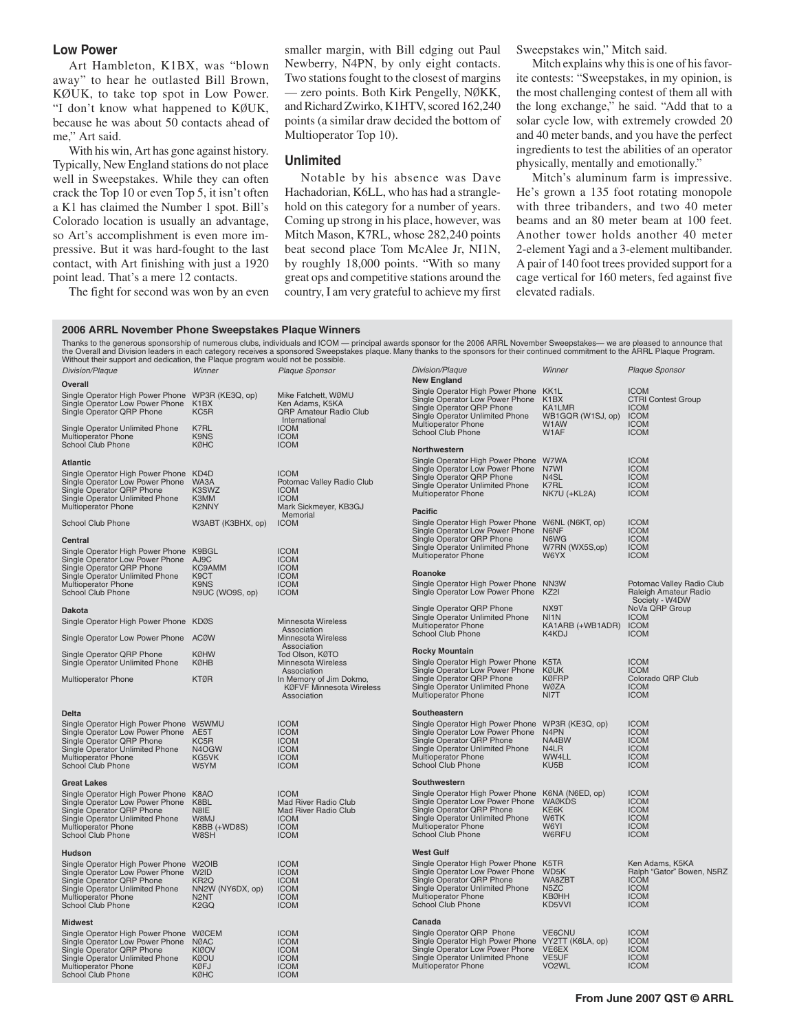## **Low Power**

Art Hambleton, K1BX, was "blown away" to hear he outlasted Bill Brown, KØUK, to take top spot in Low Power. "I don't know what happened to KØUK, because he was about 50 contacts ahead of me," Art said.

With his win, Art has gone against history. Typically, New England stations do not place well in Sweepstakes. While they can often crack the Top 10 or even Top 5, it isn't often a K1 has claimed the Number 1 spot. Bill's Colorado location is usually an advantage, so Art's accomplishment is even more impressive. But it was hard-fought to the last contact, with Art finishing with just a 1920 point lead. That's a mere 12 contacts.

The fight for second was won by an even

smaller margin, with Bill edging out Paul Newberry, N4PN, by only eight contacts. Two stations fought to the closest of margins — zero points. Both Kirk Pengelly, NØKK, and Richard Zwirko, K1HTV, scored 162,240 points (a similar draw decided the bottom of Multioperator Top 10).

### **Unlimited**

Notable by his absence was Dave Hachadorian, K6LL, who has had a stranglehold on this category for a number of years. Coming up strong in his place, however, was Mitch Mason, K7RL, whose 282,240 points beat second place Tom McAlee Jr, NI1N, by roughly 18,000 points. "With so many great ops and competitive stations around the country, I am very grateful to achieve my first Sweepstakes win," Mitch said.

Mitch explains why this is one of his favorite contests: "Sweepstakes, in my opinion, is the most challenging contest of them all with the long exchange," he said. "Add that to a solar cycle low, with extremely crowded 20 and 40 meter bands, and you have the perfect ingredients to test the abilities of an operator physically, mentally and emotionally."

Mitch's aluminum farm is impressive. He's grown a 135 foot rotating monopole with three tribanders, and two 40 meter beams and an 80 meter beam at 100 feet. Another tower holds another 40 meter 2-element Yagi and a 3-element multibander. A pair of 140 foot trees provided support for a cage vertical for 160 meters, fed against five elevated radials.

### **2006 ARRL November Phone Sweepstakes Plaque Winners**

Thanks to the generous sponsorship of numerous clubs, individuals and ICOM — principal awards sponsor for the 2006 ARRL November Sweepstakes— we are pleased to announce that the Overall and Division leaders in each category receives a sponsored Sweepstakes plaque. Many thanks to the sponsors for their continued commitment to the ARRL Plaque Program.<br>Without their support and dedication, the Pl

|                                                                                                                                                                      |                                                                                                          | <b>New England</b>                                                                                                                                                                     |                                                                                                                                                                                                                                       |                                                                                                                                                                                                                                                |
|----------------------------------------------------------------------------------------------------------------------------------------------------------------------|----------------------------------------------------------------------------------------------------------|----------------------------------------------------------------------------------------------------------------------------------------------------------------------------------------|---------------------------------------------------------------------------------------------------------------------------------------------------------------------------------------------------------------------------------------|------------------------------------------------------------------------------------------------------------------------------------------------------------------------------------------------------------------------------------------------|
|                                                                                                                                                                      |                                                                                                          |                                                                                                                                                                                        |                                                                                                                                                                                                                                       |                                                                                                                                                                                                                                                |
| Single Operator High Power Phone WP3R (KE3Q, op)<br>Single Operator Low Power Phone<br>K <sub>1</sub> BX<br>KC5R                                                     | Mike Fatchett, WØMU<br>Ken Adams, K5KA<br>QRP Amateur Radio Club                                         | Single Operator Low Power Phone<br>Single Operator QRP Phone<br>Single Operator Unlimited Phone                                                                                        | K <sub>1</sub> BX<br>KA1LMR<br>WB1GQR (W1SJ, op)                                                                                                                                                                                      | <b>ICOM</b><br><b>CTRI Contest Group</b><br><b>ICOM</b><br><b>ICOM</b>                                                                                                                                                                         |
| K7RL<br>K9NS<br><b>KØHC</b>                                                                                                                                          | <b>ICOM</b><br><b>ICOM</b><br><b>ICOM</b>                                                                | School Club Phone                                                                                                                                                                      | W1AF                                                                                                                                                                                                                                  | <b>ICOM</b><br><b>ICOM</b>                                                                                                                                                                                                                     |
|                                                                                                                                                                      |                                                                                                          |                                                                                                                                                                                        |                                                                                                                                                                                                                                       |                                                                                                                                                                                                                                                |
| Single Operator High Power Phone<br>KD <sub>4</sub> D<br>Single Operator Low Power Phone<br>WA3A<br>K3SWZ<br>K3MM<br><b>K2NNY</b>                                    | <b>ICOM</b><br>Potomac Valley Radio Club<br><b>ICOM</b><br><b>ICOM</b><br>Mark Sickmeyer, KB3GJ          | Single Operator Low Power Phone<br>Single Operator QRP Phone<br>Single Operator Unlimited Phone<br>Multioperator Phone                                                                 | N7WI<br>N4SL<br>K7RL<br>NK7U (+KL2A)                                                                                                                                                                                                  | <b>ICOM</b><br><b>ICOM</b><br><b>ICOM</b><br><b>ICOM</b><br><b>ICOM</b>                                                                                                                                                                        |
|                                                                                                                                                                      |                                                                                                          |                                                                                                                                                                                        |                                                                                                                                                                                                                                       | <b>ICOM</b>                                                                                                                                                                                                                                    |
|                                                                                                                                                                      |                                                                                                          | Single Operator Low Power Phone                                                                                                                                                        | N6NF                                                                                                                                                                                                                                  | <b>ICOM</b>                                                                                                                                                                                                                                    |
| Single Operator High Power Phone<br>K9BGL<br>Single Operator Low Power Phone<br>AJ9C                                                                                 | <b>ICOM</b><br><b>ICOM</b>                                                                               | Single Operator QRP Phone<br>Single Operator Unlimited Phone<br><b>Multioperator Phone</b>                                                                                             | N6WG<br>W7RN (WX5S,op)<br>W6YX                                                                                                                                                                                                        | <b>ICOM</b><br><b>ICOM</b><br><b>ICOM</b>                                                                                                                                                                                                      |
|                                                                                                                                                                      |                                                                                                          | Roanoke                                                                                                                                                                                |                                                                                                                                                                                                                                       |                                                                                                                                                                                                                                                |
| K9NS<br>N9UC (WO9S, op)                                                                                                                                              | <b>ICOM</b><br><b>ICOM</b>                                                                               | Single Operator Low Power Phone                                                                                                                                                        | KZ2I                                                                                                                                                                                                                                  | Potomac Valley Radio Club<br>Raleigh Amateur Radio<br>Society - W4DW                                                                                                                                                                           |
| Single Operator High Power Phone KDØS                                                                                                                                | <b>Minnesota Wireless</b>                                                                                | Single Operator QRP Phone<br>Single Operator Unlimited Phone                                                                                                                           | NX9T<br>N <sub>1</sub> N                                                                                                                                                                                                              | NoVa QRP Group<br><b>ICOM</b><br><b>ICOM</b>                                                                                                                                                                                                   |
| Single Operator Low Power Phone<br><b>ACØW</b>                                                                                                                       | Minnesota Wireless                                                                                       | School Club Phone                                                                                                                                                                      | K4KDJ                                                                                                                                                                                                                                 | <b>ICOM</b>                                                                                                                                                                                                                                    |
| <b>KØHW</b>                                                                                                                                                          | Association<br>Tod Olson, KØTO                                                                           | <b>Rocky Mountain</b>                                                                                                                                                                  | K <sub>5</sub> TA                                                                                                                                                                                                                     | <b>ICOM</b>                                                                                                                                                                                                                                    |
| <b>KTØR</b>                                                                                                                                                          | Association<br>In Memory of Jim Dokmo,<br><b>KØFVF Minnesota Wireless</b><br>Association                 | Single Operator QRP Phone<br>Single Operator Unlimited Phone<br>Multioperator Phone                                                                                                    | <b>KØUK</b><br><b>KØFRP</b><br><b>WØZA</b><br>NI7T                                                                                                                                                                                    | <b>ICOM</b><br>Colorado QRP Club<br><b>ICOM</b><br><b>ICOM</b>                                                                                                                                                                                 |
|                                                                                                                                                                      |                                                                                                          |                                                                                                                                                                                        |                                                                                                                                                                                                                                       |                                                                                                                                                                                                                                                |
| Single Operator High Power Phone W5WMU<br>Single Operator Low Power Phone<br>AE5T<br>KC5R<br>N4OGW<br>KG5VK<br>W5YM                                                  | <b>ICOM</b><br><b>ICOM</b><br><b>ICOM</b><br><b>ICOM</b><br><b>ICOM</b><br><b>ICOM</b>                   | Single Operator High Power Phone<br>Single Operator Low Power Phone<br>Single Operator QRP Phone<br>Single Operator Unlimited Phone<br>Multioperator Phone<br>School Club Phone        | N <sub>4</sub> PN<br>NA4BW<br>N4LR<br>WW4LL<br>KU <sub>5</sub> B                                                                                                                                                                      | <b>ICOM</b><br><b>ICOM</b><br><b>ICOM</b><br><b>ICOM</b><br><b>ICOM</b><br><b>ICOM</b>                                                                                                                                                         |
|                                                                                                                                                                      |                                                                                                          |                                                                                                                                                                                        |                                                                                                                                                                                                                                       |                                                                                                                                                                                                                                                |
| Single Operator High Power Phone<br>K8AO<br>Single Operator Low Power Phone<br>K8BL<br>N8IE<br>W8MJ<br>K8BB (+WD8S)<br>W8SH                                          | <b>ICOM</b><br>Mad River Radio Club<br>Mad River Radio Club<br><b>ICOM</b><br><b>ICOM</b><br><b>ICOM</b> | Single Operator High Power Phone<br>Single Operator Low Power Phone<br>Single Operator QRP Phone<br>Single Operator Unlimited Phone<br>Multioperator Phone<br>School Club Phone        | K6NA (N6ED, op)<br><b>WAØKDS</b><br>KE6K<br>W6TK<br>W6YI<br>W6RFU                                                                                                                                                                     | <b>ICOM</b><br><b>ICOM</b><br><b>ICOM</b><br><b>ICOM</b><br><b>ICOM</b><br><b>ICOM</b>                                                                                                                                                         |
|                                                                                                                                                                      |                                                                                                          | <b>West Gulf</b>                                                                                                                                                                       |                                                                                                                                                                                                                                       |                                                                                                                                                                                                                                                |
| Single Operator High Power Phone W2OIB<br>Single Operator Low Power Phone<br>W2ID<br>KR <sub>2</sub> Q<br>NN2W (NY6DX, op)<br>N <sub>2</sub> NT<br>K <sub>2</sub> GQ | <b>ICOM</b><br><b>ICOM</b><br><b>ICOM</b><br><b>ICOM</b><br><b>ICOM</b><br><b>ICOM</b>                   | Single Operator High Power Phone<br>Single Operator Low Power Phone<br>Single Operator QRP Phone<br>Single Operator Unlimited Phone<br><b>Multioperator Phone</b><br>School Club Phone | K <sub>5</sub> TR<br>WD5K<br>WA8ZBT<br>N <sub>5</sub> ZC<br><b>KBØHH</b><br>KD5VVI                                                                                                                                                    | Ken Adams, K5KA<br>Ralph "Gator" Bowen, N5RZ<br><b>ICOM</b><br><b>ICOM</b><br><b>ICOM</b><br><b>ICOM</b>                                                                                                                                       |
|                                                                                                                                                                      |                                                                                                          | Canada                                                                                                                                                                                 |                                                                                                                                                                                                                                       |                                                                                                                                                                                                                                                |
| Single Operator High Power Phone WØCEM<br>Single Operator Low Power Phone<br><b>NØAC</b><br><b>KIØOV</b><br><b>KØOU</b><br><b>KØFJ</b><br><b>KØHC</b>                | <b>ICOM</b><br><b>ICOM</b><br><b>ICOM</b><br><b>ICOM</b><br><b>ICOM</b><br><b>ICOM</b>                   | Single Operator QRP Phone<br>Single Operator Low Power Phone<br>Single Operator Unlimited Phone<br><b>Multioperator Phone</b>                                                          | VE6CNU<br>VE6EX<br>VE <sub>5UF</sub><br>VO <sub>2</sub> WL                                                                                                                                                                            | <b>ICOM</b><br><b>ICOM</b><br><b>ICOM</b><br><b>ICOM</b><br><b>ICOM</b>                                                                                                                                                                        |
|                                                                                                                                                                      | W3ABT (K3BHX, op)<br>KC9AMM<br>K <sub>9</sub> CT<br>KØHB                                                 | International<br>Memorial<br><b>ICOM</b><br><b>ICOM</b><br><b>ICOM</b><br>Association<br>Minnesota Wireless                                                                            | <b>Multioperator Phone</b><br>Northwestern<br><b>Pacific</b><br>Single Operator High Power Phone<br><b>Multioperator Phone</b><br>Single Operator High Power Phone<br>Single Operator Low Power Phone<br>Southeastern<br>Southwestern | Single Operator High Power Phone KK1L<br>W1AW<br>Single Operator High Power Phone W7WA<br>W6NL (N6KT, op)<br>Single Operator High Power Phone NN3W<br>KA1ARB (+WB1ADR)<br>WP3R (KE3Q, op)<br>Single Operator High Power Phone VY2TT (K6LA, op) |